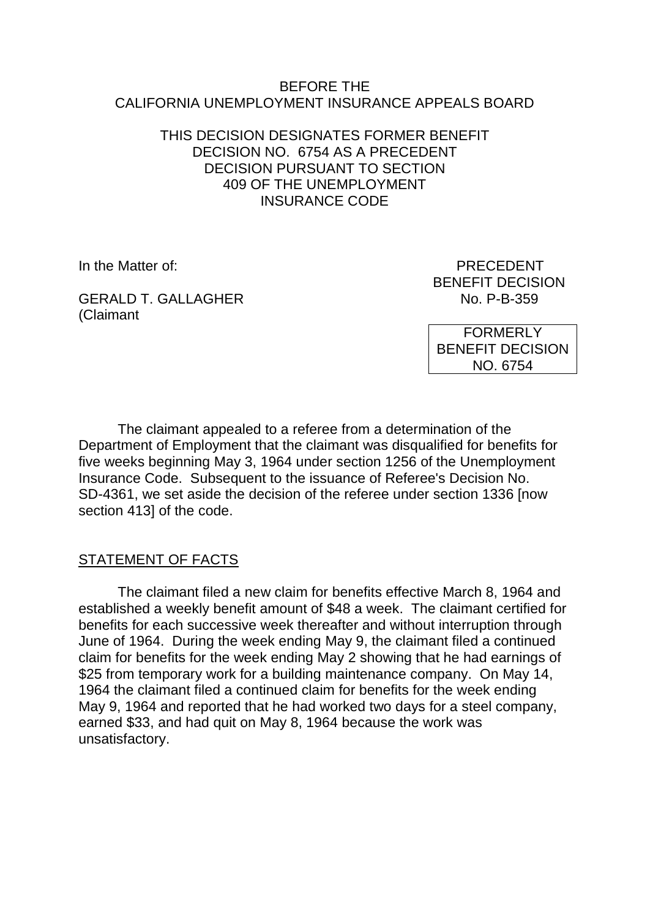#### BEFORE THE CALIFORNIA UNEMPLOYMENT INSURANCE APPEALS BOARD

#### THIS DECISION DESIGNATES FORMER BENEFIT DECISION NO. 6754 AS A PRECEDENT DECISION PURSUANT TO SECTION 409 OF THE UNEMPLOYMENT INSURANCE CODE

GERALD T. GALLAGHER NO. P-B-359 (Claimant

In the Matter of: PRECEDENT BENEFIT DECISION

> FORMERLY BENEFIT DECISION NO. 6754

The claimant appealed to a referee from a determination of the Department of Employment that the claimant was disqualified for benefits for five weeks beginning May 3, 1964 under section 1256 of the Unemployment Insurance Code. Subsequent to the issuance of Referee's Decision No. SD-4361, we set aside the decision of the referee under section 1336 [now section 413] of the code.

# STATEMENT OF FACTS

The claimant filed a new claim for benefits effective March 8, 1964 and established a weekly benefit amount of \$48 a week. The claimant certified for benefits for each successive week thereafter and without interruption through June of 1964. During the week ending May 9, the claimant filed a continued claim for benefits for the week ending May 2 showing that he had earnings of \$25 from temporary work for a building maintenance company. On May 14, 1964 the claimant filed a continued claim for benefits for the week ending May 9, 1964 and reported that he had worked two days for a steel company, earned \$33, and had quit on May 8, 1964 because the work was unsatisfactory.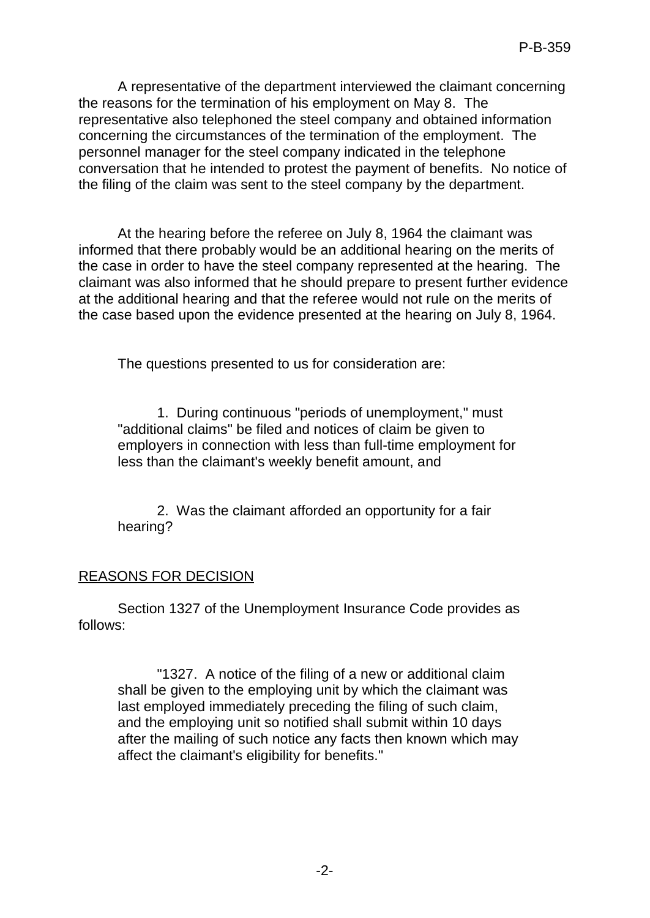A representative of the department interviewed the claimant concerning the reasons for the termination of his employment on May 8. The representative also telephoned the steel company and obtained information concerning the circumstances of the termination of the employment. The personnel manager for the steel company indicated in the telephone conversation that he intended to protest the payment of benefits. No notice of the filing of the claim was sent to the steel company by the department.

At the hearing before the referee on July 8, 1964 the claimant was informed that there probably would be an additional hearing on the merits of the case in order to have the steel company represented at the hearing. The claimant was also informed that he should prepare to present further evidence at the additional hearing and that the referee would not rule on the merits of the case based upon the evidence presented at the hearing on July 8, 1964.

The questions presented to us for consideration are:

1. During continuous "periods of unemployment," must "additional claims" be filed and notices of claim be given to employers in connection with less than full-time employment for less than the claimant's weekly benefit amount, and

2. Was the claimant afforded an opportunity for a fair hearing?

# REASONS FOR DECISION

Section 1327 of the Unemployment Insurance Code provides as follows:

"1327. A notice of the filing of a new or additional claim shall be given to the employing unit by which the claimant was last employed immediately preceding the filing of such claim, and the employing unit so notified shall submit within 10 days after the mailing of such notice any facts then known which may affect the claimant's eligibility for benefits."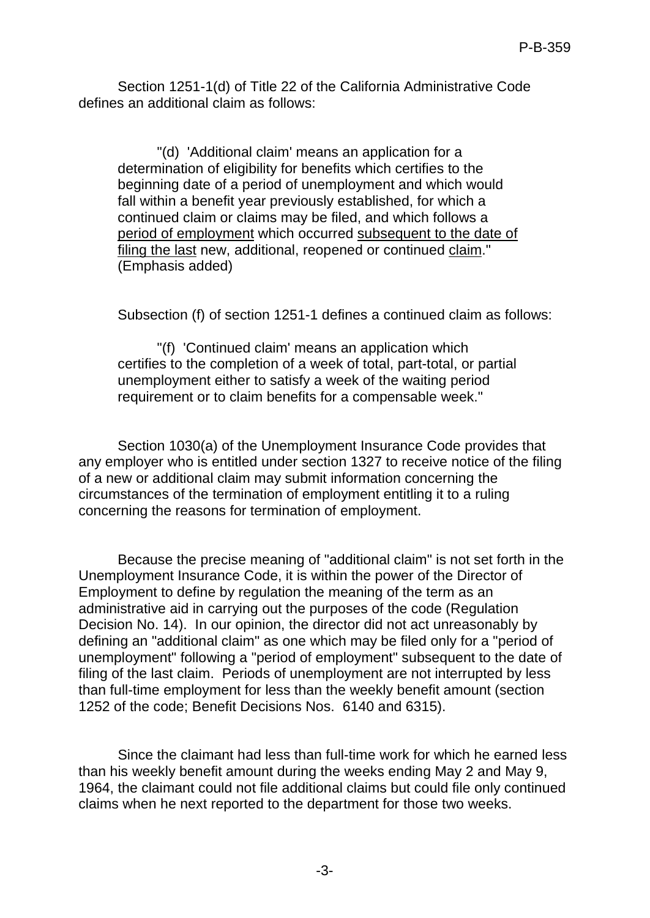Section 1251-1(d) of Title 22 of the California Administrative Code defines an additional claim as follows:

"(d) 'Additional claim' means an application for a determination of eligibility for benefits which certifies to the beginning date of a period of unemployment and which would fall within a benefit year previously established, for which a continued claim or claims may be filed, and which follows a period of employment which occurred subsequent to the date of filing the last new, additional, reopened or continued claim." (Emphasis added)

Subsection (f) of section 1251-1 defines a continued claim as follows:

"(f) 'Continued claim' means an application which certifies to the completion of a week of total, part-total, or partial unemployment either to satisfy a week of the waiting period requirement or to claim benefits for a compensable week."

Section 1030(a) of the Unemployment Insurance Code provides that any employer who is entitled under section 1327 to receive notice of the filing of a new or additional claim may submit information concerning the circumstances of the termination of employment entitling it to a ruling concerning the reasons for termination of employment.

Because the precise meaning of "additional claim" is not set forth in the Unemployment Insurance Code, it is within the power of the Director of Employment to define by regulation the meaning of the term as an administrative aid in carrying out the purposes of the code (Regulation Decision No. 14). In our opinion, the director did not act unreasonably by defining an "additional claim" as one which may be filed only for a "period of unemployment" following a "period of employment" subsequent to the date of filing of the last claim. Periods of unemployment are not interrupted by less than full-time employment for less than the weekly benefit amount (section 1252 of the code; Benefit Decisions Nos. 6140 and 6315).

Since the claimant had less than full-time work for which he earned less than his weekly benefit amount during the weeks ending May 2 and May 9, 1964, the claimant could not file additional claims but could file only continued claims when he next reported to the department for those two weeks.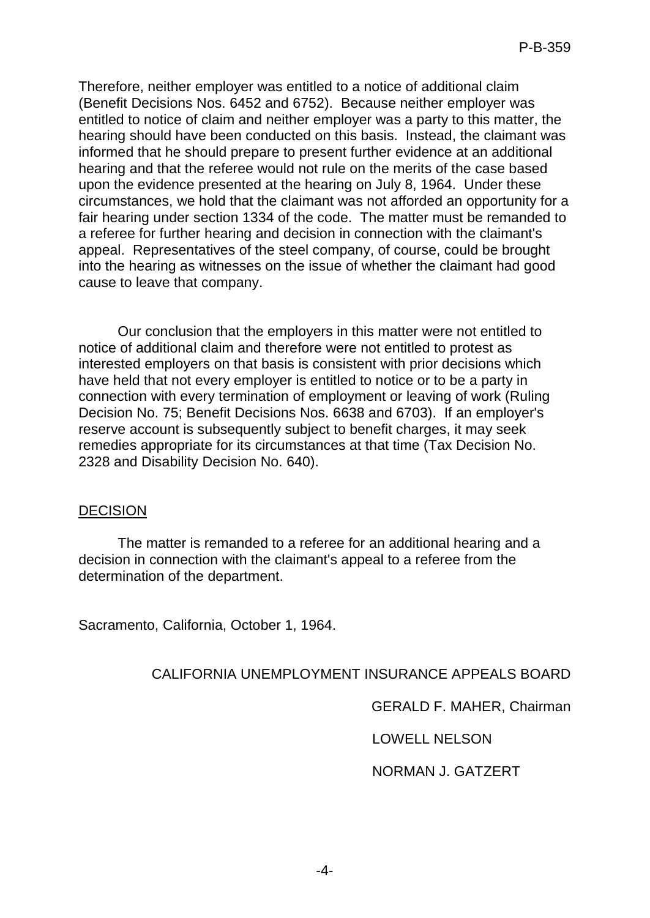Therefore, neither employer was entitled to a notice of additional claim (Benefit Decisions Nos. 6452 and 6752). Because neither employer was entitled to notice of claim and neither employer was a party to this matter, the hearing should have been conducted on this basis. Instead, the claimant was informed that he should prepare to present further evidence at an additional hearing and that the referee would not rule on the merits of the case based upon the evidence presented at the hearing on July 8, 1964. Under these circumstances, we hold that the claimant was not afforded an opportunity for a fair hearing under section 1334 of the code. The matter must be remanded to a referee for further hearing and decision in connection with the claimant's appeal. Representatives of the steel company, of course, could be brought into the hearing as witnesses on the issue of whether the claimant had good cause to leave that company.

Our conclusion that the employers in this matter were not entitled to notice of additional claim and therefore were not entitled to protest as interested employers on that basis is consistent with prior decisions which have held that not every employer is entitled to notice or to be a party in connection with every termination of employment or leaving of work (Ruling Decision No. 75; Benefit Decisions Nos. 6638 and 6703). If an employer's reserve account is subsequently subject to benefit charges, it may seek remedies appropriate for its circumstances at that time (Tax Decision No. 2328 and Disability Decision No. 640).

#### **DECISION**

The matter is remanded to a referee for an additional hearing and a decision in connection with the claimant's appeal to a referee from the determination of the department.

Sacramento, California, October 1, 1964.

# CALIFORNIA UNEMPLOYMENT INSURANCE APPEALS BOARD

GERALD F. MAHER, Chairman

LOWELL NELSON

NORMAN J. GATZERT